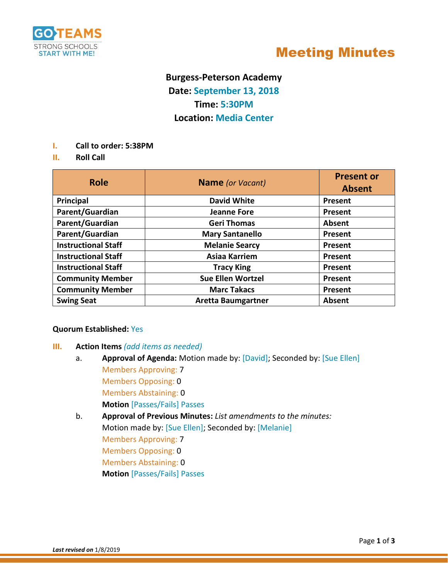

# Meeting Minutes

# **Burgess-Peterson Academy Date: September 13, 2018 Time: 5:30PM Location: Media Center**

- **I. Call to order: 5:38PM**
- **II. Roll Call**

| <b>Role</b>                | <b>Name</b> (or Vacant)   | <b>Present or</b><br><b>Absent</b> |
|----------------------------|---------------------------|------------------------------------|
| Principal                  | <b>David White</b>        | Present                            |
| Parent/Guardian            | <b>Jeanne Fore</b>        | Present                            |
| Parent/Guardian            | <b>Geri Thomas</b>        | Absent                             |
| Parent/Guardian            | <b>Mary Santanello</b>    | Present                            |
| <b>Instructional Staff</b> | <b>Melanie Searcy</b>     | Present                            |
| <b>Instructional Staff</b> | Asiaa Karriem             | Present                            |
| <b>Instructional Staff</b> | <b>Tracy King</b>         | Present                            |
| <b>Community Member</b>    | <b>Sue Ellen Wortzel</b>  | Present                            |
| <b>Community Member</b>    | <b>Marc Takacs</b>        | Present                            |
| <b>Swing Seat</b>          | <b>Aretta Baumgartner</b> | Absent                             |

#### **Quorum Established:** Yes

## **III. Action Items** *(add items as needed)*

- a. **Approval of Agenda:** Motion made by: [David]; Seconded by: [Sue Ellen] Members Approving: 7 Members Opposing: 0 Members Abstaining: 0 **Motion** [Passes/Fails] Passes
- b. **Approval of Previous Minutes:** *List amendments to the minutes:* Motion made by: [Sue Ellen]; Seconded by: [Melanie] Members Approving: 7 Members Opposing: 0 Members Abstaining: 0 **Motion** [Passes/Fails] Passes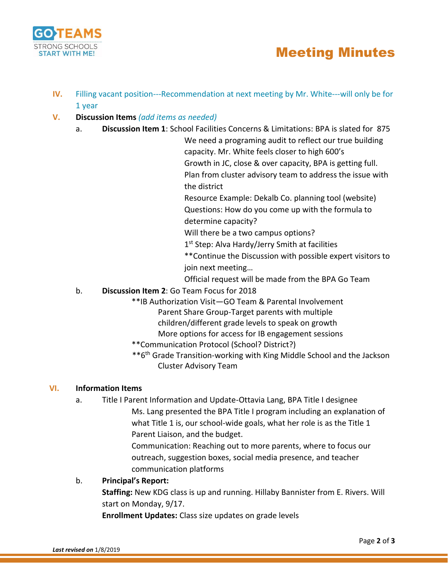

# Meeting Minutes

- **IV.** Filling vacant position---Recommendation at next meeting by Mr. White---will only be for 1 year
- **V. Discussion Items** *(add items as needed)*
	- a. **Discussion Item 1**: School Facilities Concerns & Limitations: BPA is slated for 875

We need a programing audit to reflect our true building capacity. Mr. White feels closer to high 600's Growth in JC, close & over capacity, BPA is getting full. Plan from cluster advisory team to address the issue with the district

Resource Example: Dekalb Co. planning tool (website) Questions: How do you come up with the formula to determine capacity?

Will there be a two campus options?

1 st Step: Alva Hardy/Jerry Smith at facilities

\*\*Continue the Discussion with possible expert visitors to join next meeting…

Official request will be made from the BPA Go Team

## b. **Discussion Item 2**: Go Team Focus for 2018

- \*\*IB Authorization Visit—GO Team & Parental Involvement
	- Parent Share Group-Target parents with multiple
	- children/different grade levels to speak on growth
	- More options for access for IB engagement sessions
- \*\*Communication Protocol (School? District?)
- \*\*6th Grade Transition-working with King Middle School and the Jackson Cluster Advisory Team

## **VI. Information Items**

a. Title I Parent Information and Update-Ottavia Lang, BPA Title I designee Ms. Lang presented the BPA Title I program including an explanation of what Title 1 is, our school-wide goals, what her role is as the Title 1 Parent Liaison, and the budget.

> Communication: Reaching out to more parents, where to focus our outreach, suggestion boxes, social media presence, and teacher communication platforms

## b. **Principal's Report:**

**Staffing:** New KDG class is up and running. Hillaby Bannister from E. Rivers. Will start on Monday, 9/17.

**Enrollment Updates:** Class size updates on grade levels